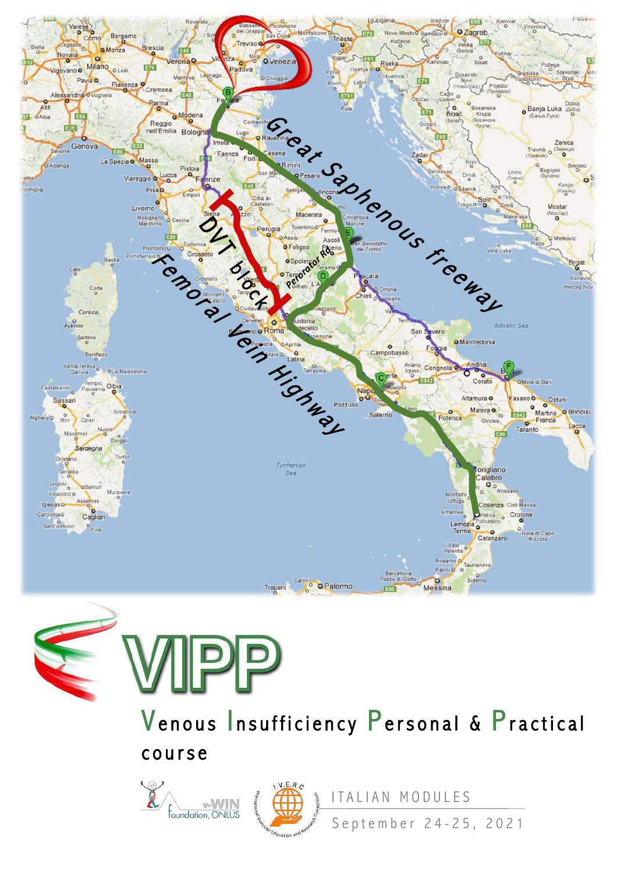



Venous Insufficiency Personal & Practical course





ITALIAN MODULES

September 2 4 - 25, 2021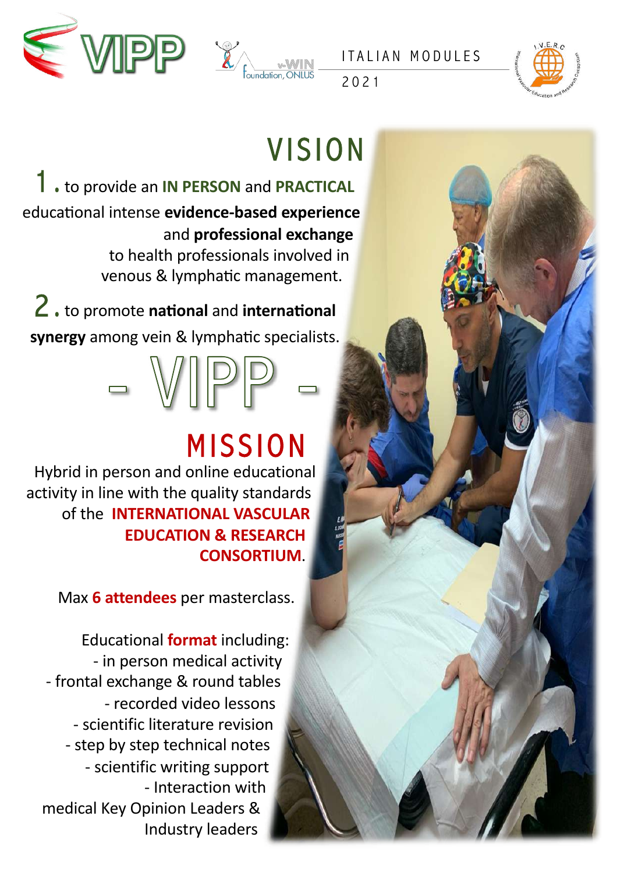



2021



## **VISION**

1 . to provide an **IN PERSON** and **PRACTICAL** educational intense evidence-based experience and **professional exchange**

to health professionals involved in venous & lymphatic management.

 $2.$  to promote national and international synergy among vein & lymphatic specialists.

## MISSION

Hybrid in person and online educational activity in line with the quality standards of the **INTERNATIONAL VASCULAR EDUCATION & RESEARCH CONSORTIUM**.

Max **6 attendees** per masterclass.

Educational **format** including: - in person medical activity - frontal exchange & round tables - recorded video lessons - scientific literature revision - step by step technical notes - scientific writing support - Interaction with medical Key Opinion Leaders & Industry leaders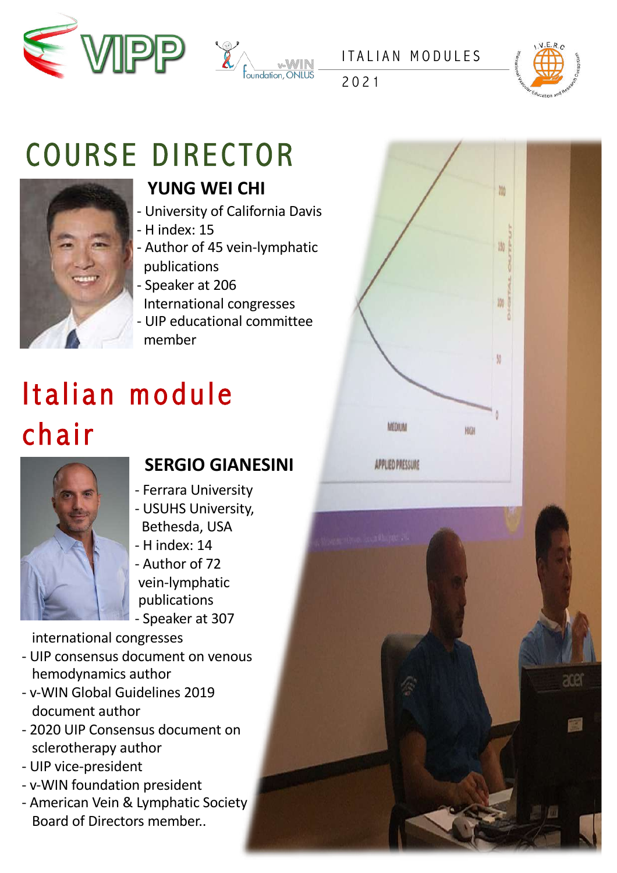



2021



ace

## COURSE DIRECTOR



#### **YUNG WEI CHI**

- University of California Davis
- H index: 15
- Author of 45 vein-lymphatic publications
- Speaker at 206
- International congresses
- UIP educational committee member

## Italian module chair



#### **SERGIO GIANESINI**

- Ferrara University
- USUHS University, Bethesda, USA
- H index: 14
- Author of 72 vein-lymphatic publications - Speaker at 307

international congresses

- UIP consensus document on venous hemodynamics author
- v-WIN Global Guidelines 2019 document author
- 2020 UIP Consensus document on sclerotherapy author
- UIP vice-president
- v-WIN foundation president
- American Vein & Lymphatic Society Board of Directors member..

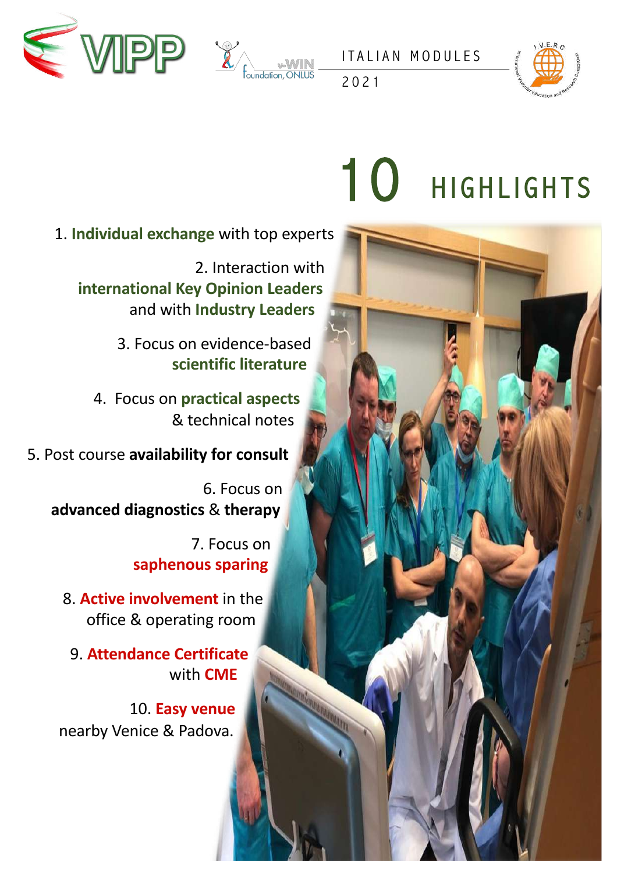





2021

# 10 HIGHLIGHTS

1. **Individual exchange** with top experts

2. Interaction with **international Key Opinion Leaders** and with **Industry Leaders**

> 3. Focus on evidence-based **scientific literature**

4. Focus on **practical aspects** & technical notes

5. Post course **availability for consult**

6. Focus on **advanced diagnostics** & **therapy**

> 7. Focus on **saphenous sparing**

8. **Active involvement** in the office & operating room

9. **Attendance Certificate** with **CME**

10. **Easy venue** nearby Venice & Padova.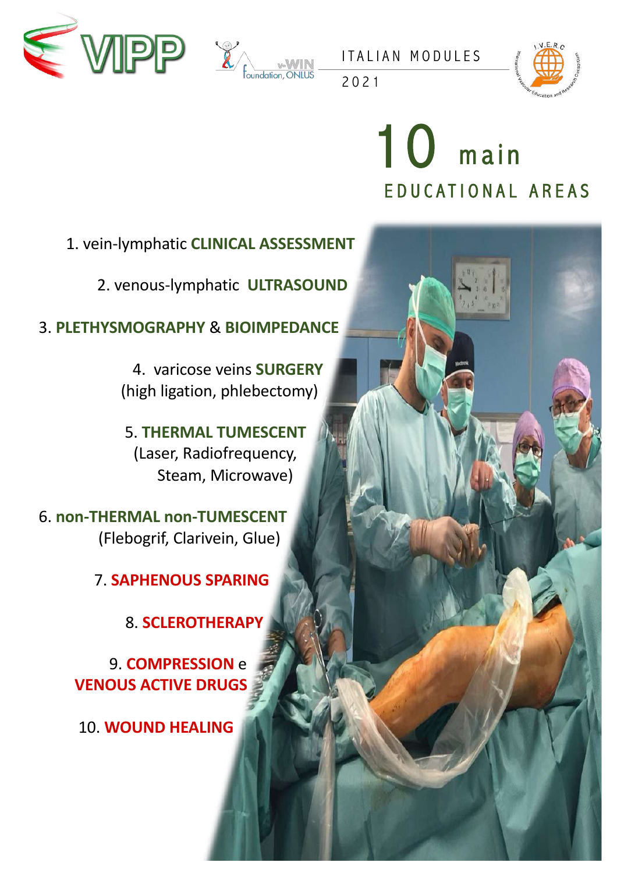



2021



## EDUCATIONAL AREAS 10 main

1. vein-lymphatic **CLINICAL ASSESSMENT**

2. venous-lymphatic **ULTRASOUND**

3. **PLETHYSMOGRAPHY** & **BIOIMPEDANCE**

4. varicose veins **SURGERY** (high ligation, phlebectomy)

5. **THERMAL TUMESCENT** (Laser, Radiofrequency, Steam, Microwave)

6. **non-THERMAL non-TUMESCENT** (Flebogrif, Clarivein, Glue)

7. **SAPHENOUS SPARING**

8. **SCLEROTHERAPY**

9. **COMPRESSION** e **VENOUS ACTIVE DRUGS**

10. **WOUND HEALING**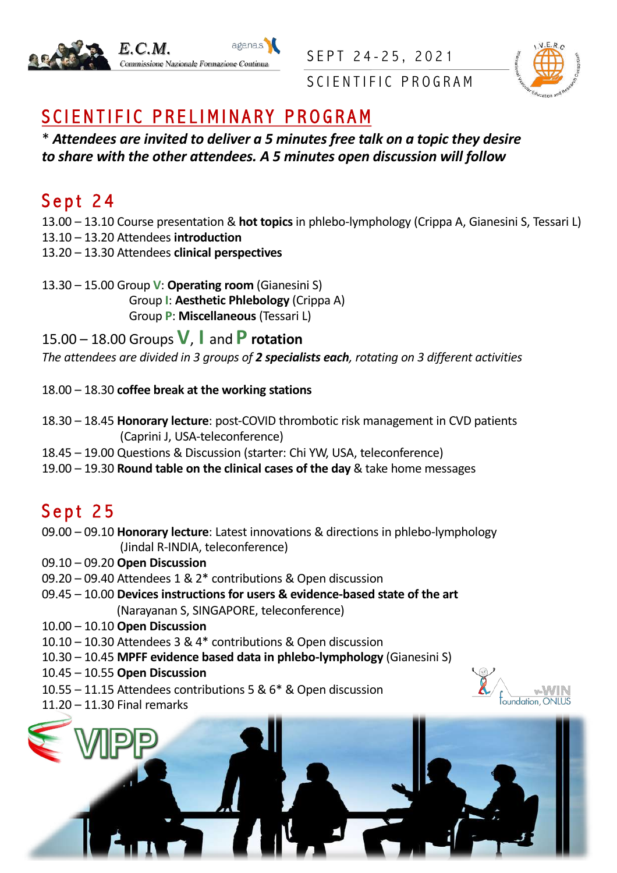





SCIENTIFIC PROGRAM

#### SCIENTIFIC PRELIMINARY PROGRAM

\* *Attendees are invited to deliver a 5 minutes free talk on a topic they desire to share with the other attendees. A 5 minutes open discussion will follow* 

#### Sept 24

13.00 – 13.10 Course presentation & **hot topics** in phlebo-lymphology (Crippa A, Gianesini S, Tessari L)

- 13.10 13.20 Attendees **introduction**
- 13.20 13.30 Attendees **clinical perspectives**

13.30 – 15.00 Group **V**: **Operating room** (Gianesini S) Group **I**: **Aesthetic Phlebology** (Crippa A) Group **P**: **Miscellaneous** (Tessari L)

15.00 – 18.00 Groups **V**, **I** and **P rotation** *The attendees are divided in 3 groups of 2 specialists each, rotating on 3 different activities*

#### 18.00 – 18.30 **coffee break at the working stations**

- 18.30 18.45 **Honorary lecture**: post-COVID thrombotic risk management in CVD patients (Caprini J, USA-teleconference)
- 18.45 19.00 Questions & Discussion (starter: Chi YW, USA, teleconference)
- 19.00 19.30 **Round table on the clinical cases of the day** & take home messages

#### Sept 25

- 09.00 09.10 **Honorary lecture**: Latest innovations & directions in phlebo-lymphology (Jindal R-INDIA, teleconference)
- 09.10 09.20 **Open Discussion**
- 09.20 09.40 Attendees 1 & 2\* contributions & Open discussion
- 09.45 10.00 **Devices instructions for users & evidence-based state of the art** (Narayanan S, SINGAPORE, teleconference)
- 10.00 10.10 **Open Discussion**
- 10.10 10.30 Attendees 3 & 4\* contributions & Open discussion
- 10.30 10.45 **MPFF evidence based data in phlebo-lymphology** (Gianesini S)
- 10.45 10.55 **Open Discussion**
- 10.55 11.15 Attendees contributions 5 & 6\* & Open discussion
- 11.20 11.30 Final remarks